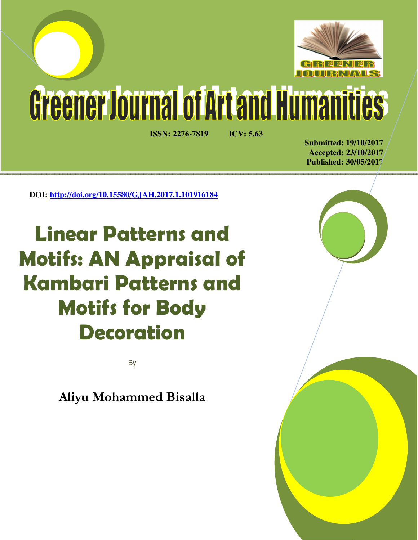

# Greener Journal of Artand Humanities

**ISSN: 2276-7819 ICV: 5.63** 

**Submitted: 19/10/2017 Accepted: 23/10/2017 Published: 30/05/2017**

**DOI: http://doi.org/10.15580/GJAH.2017.1.101916184**

**Linear Patterns and Motifs: AN Appraisal of Kambari Patterns and Motifs for Body Decoration**

By

**Aliyu Mohammed Bisalla**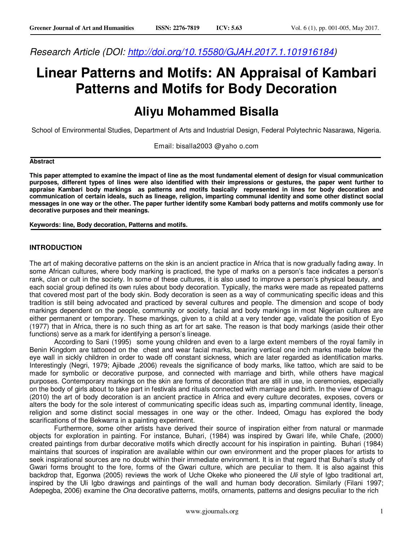*Research Article (DOI: http://doi.org/10.15580/GJAH.2017.1.101916184)* 

## **Linear Patterns and Motifs: AN Appraisal of Kambari Patterns and Motifs for Body Decoration**

### **Aliyu Mohammed Bisalla**

School of Environmental Studies, Department of Arts and Industrial Design, Federal Polytechnic Nasarawa, Nigeria.

Email: bisalla2003 @yaho o.com

#### **Abstract**

**This paper attempted to examine the impact of line as the most fundamental element of design for visual communication purposes, different types of lines were also identified with their impressions or gestures, the paper went further to appraise Kambari body markings as patterns and motifs basically represented in lines for body decoration and communication of certain ideals, such as lineage, religion, imparting communal identity and some other distinct social messages in one way or the other. The paper further identify some Kambari body patterns and motifs commonly use for decorative purposes and their meanings.** 

**Keywords: line, Body decoration, Patterns and motifs.** 

#### **INTRODUCTION**

The art of making decorative patterns on the skin is an ancient practice in Africa that is now gradually fading away. In some African cultures, where body marking is practiced, the type of marks on a person's face indicates a person's rank, clan or cult in the society. In some of these cultures, it is also used to improve a person's physical beauty, and each social group defined its own rules about body decoration. Typically, the marks were made as repeated patterns that covered most part of the body skin. Body decoration is seen as a way of communicating specific ideas and this tradition is still being advocated and practiced by several cultures and people. The dimension and scope of body markings dependent on the people, community or society, facial and body markings in most Nigerian cultures are either permanent or temporary. These markings, given to a child at a very tender age, validate the position of Eyo (1977) that in Africa, there is no such thing as art for art sake. The reason is that body markings (aside their other functions) serve as a mark for identifying a person's lineage.

According to Sani (1995) some young children and even to a large extent members of the royal family in Benin Kingdom are tattooed on the chest and wear facial marks, bearing vertical one inch marks made below the eye wall in sickly children in order to wade off constant sickness, which are later regarded as identification marks. Interestingly (Negri, 1979; Ajibade ,2006) reveals the significance of body marks, like tattoo, which are said to be made for symbolic or decorative purpose, and connected with marriage and birth, while others have magical purposes. Contemporary markings on the skin are forms of decoration that are still in use, in ceremonies, especially on the body of girls about to take part in festivals and rituals connected with marriage and birth. In the view of Omagu (2010) the art of body decoration is an ancient practice in Africa and every culture decorates, exposes, covers or alters the body for the sole interest of communicating specific ideas such as, imparting communal identity, lineage, religion and some distinct social messages in one way or the other. Indeed, Omagu has explored the body scarifications of the Bekwarra in a painting experiment.

Furthermore, some other artists have derived their source of inspiration either from natural or manmade objects for exploration in painting. For instance, Buhari, (1984) was inspired by Gwari life, while Chafe, (2000) created paintings from durbar decorative motifs which directly account for his inspiration in painting. Buhari (1984) maintains that sources of inspiration are available within our own environment and the proper places for artists to seek inspirational sources are no doubt within their immediate environment. It is in that regard that Buhari's study of Gwari forms brought to the fore, forms of the Gwari culture, which are peculiar to them. It is also against this backdrop that, Egonwa (2005) reviews the work of Uche Okeke who pioneered the *Uli* style of Igbo traditional art, inspired by the Uli Igbo drawings and paintings of the wall and human body decoration. Similarly (Filani 1997; Adepegba, 2006) examine the *Ona* decorative patterns, motifs, ornaments, patterns and designs peculiar to the rich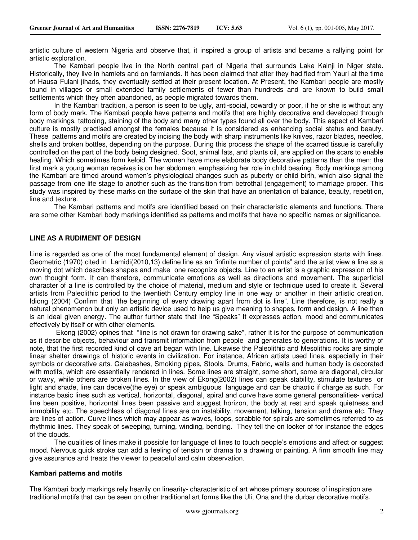artistic culture of western Nigeria and observe that, it inspired a group of artists and became a rallying point for artistic exploration.

The Kambari people live in the North central part of Nigeria that surrounds Lake Kainji in Niger state. Historically, they live in hamlets and on farmlands. It has been claimed that after they had fled from Yauri at the time of Hausa Fulani jihads, they eventually settled at their present location. At Present, the Kambari people are mostly found in villages or small extended family settlements of fewer than hundreds and are known to build small settlements which they often abandoned, as people migrated towards them.

In the Kambari tradition, a person is seen to be ugly, anti-social, cowardly or poor, if he or she is without any form of body mark. The Kambari people have patterns and motifs that are highly decorative and developed through body markings, tattooing, staining of the body and many other types found all over the body. This aspect of Kambari culture is mostly practised amongst the females because it is considered as enhancing social status and beauty. These patterns and motifs are created by incising the body with sharp instruments like knives, razor blades, needles, shells and broken bottles, depending on the purpose. During this process the shape of the scarred tissue is carefully controlled on the part of the body being designed. Soot, animal fats, and plants oil, are applied on the scars to enable healing. Which sometimes form keloid. The women have more elaborate body decorative patterns than the men; the first mark a young woman receives is on her abdomen, emphasizing her role in child bearing. Body markings among the Kambari are timed around women's physiological changes such as puberty or child birth, which also signal the passage from one life stage to another such as the transition from betrothal (engagement) to marriage proper. This study was inspired by these marks on the surface of the skin that have an orientation of balance, beauty, repetition, line and texture.

 The Kambari patterns and motifs are identified based on their characteristic elements and functions. There are some other Kambari body markings identified as patterns and motifs that have no specific names or significance.

#### **LINE AS A RUDIMENT OF DESIGN**

Line is regarded as one of the most fundamental element of design. Any visual artistic expression starts with lines. Geometric (1970) cited in Lamidi(2010,13) define line as an "infinite number of points" and the artist view a line as a moving dot which describes shapes and make one recognize objects. Line to an artist is a graphic expression of his own thought form. It can therefore, communicate emotions as well as directions and movement. The superficial character of a line is controlled by the choice of material, medium and style or technique used to create it. Several artists from Paleolithic period to the twentieth Century employ line in one way or another in their artistic creation. Idiong (2004) Confirm that "the beginning of every drawing apart from dot is line". Line therefore, is not really a natural phenomenon but only an artistic device used to help us give meaning to shapes, form and design. A line then is an ideal given energy. The author further state that line "Speaks" It expresses action, mood and communicates effectively by itself or with other elements.

 Ekong (2002) opines that "line is not drawn for drawing sake", rather it is for the purpose of communication as it describe objects, behaviour and transmit information from people and generates to generations. It is worthy of note, that the first recorded kind of cave art began with line. Likewise the Paleolithic and Mesolithic rocks are simple linear shelter drawings of historic events in civilization. For instance, African artists used lines, especially in their symbols or decorative arts. Calabashes, Smoking pipes, Stools, Drums, Fabric, walls and human body is decorated with motifs, which are essentially rendered in lines. Some lines are straight, some short, some are diagonal, circular or wavy, while others are broken lines. In the view of Ekong(2002) lines can speak stability, stimulate textures or light and shade, line can deceive(the eye) or speak ambiguous language and can be chaotic if charge as such. For instance basic lines such as vertical, horizontal, diagonal, spiral and curve have some general personalities- vertical line been positive, horizontal lines been passive and suggest horizon, the body at rest and speak quietness and immobility etc. The speechless of diagonal lines are on instability, movement, talking, tension and drama etc. They are lines of action. Curve lines which may appear as waves, loops, scrabble for spirals are sometimes referred to as rhythmic lines. They speak of sweeping, turning, winding, bending. They tell the on looker of for instance the edges of the clouds.

The qualities of lines make it possible for language of lines to touch people's emotions and affect or suggest mood. Nervous quick stroke can add a feeling of tension or drama to a drawing or painting. A firm smooth line may give assurance and treats the viewer to peaceful and calm observation.

#### **Kambari patterns and motifs**

The Kambari body markings rely heavily on linearity- characteristic of art whose primary sources of inspiration are traditional motifs that can be seen on other traditional art forms like the Uli, Ona and the durbar decorative motifs.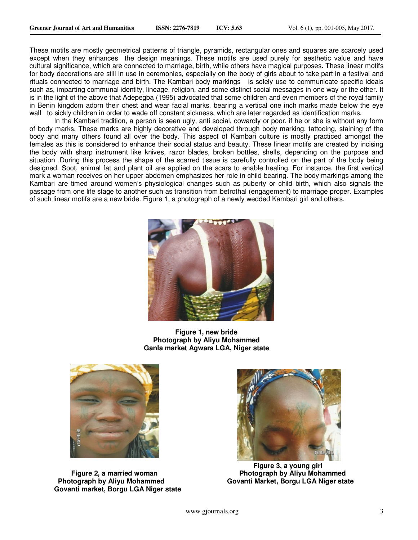These motifs are mostly geometrical patterns of triangle, pyramids, rectangular ones and squares are scarcely used except when they enhances the design meanings. These motifs are used purely for aesthetic value and have cultural significance, which are connected to marriage, birth, while others have magical purposes. These linear motifs for body decorations are still in use in ceremonies, especially on the body of girls about to take part in a festival and rituals connected to marriage and birth. The Kambari body markings is solely use to communicate specific ideals such as, imparting communal identity, lineage, religion, and some distinct social messages in one way or the other. It is in the light of the above that Adepegba (1995) advocated that some children and even members of the royal family in Benin kingdom adorn their chest and wear facial marks, bearing a vertical one inch marks made below the eye wall to sickly children in order to wade off constant sickness, which are later regarded as identification marks.

In the Kambari tradition, a person is seen ugly, anti social, cowardly or poor, if he or she is without any form of body marks. These marks are highly decorative and developed through body marking, tattooing, staining of the body and many others found all over the body. This aspect of Kambari culture is mostly practiced amongst the females as this is considered to enhance their social status and beauty. These linear motifs are created by incising the body with sharp instrument like knives, razor blades, broken bottles, shells, depending on the purpose and situation .During this process the shape of the scarred tissue is carefully controlled on the part of the body being designed. Soot, animal fat and plant oil are applied on the scars to enable healing. For instance, the first vertical mark a woman receives on her upper abdomen emphasizes her role in child bearing. The body markings among the Kambari are timed around women's physiological changes such as puberty or child birth, which also signals the passage from one life stage to another such as transition from betrothal (engagement) to marriage proper. Examples of such linear motifs are a new bride. Figure 1, a photograph of a newly wedded Kambari girl and others.



**Figure 1, new bride Photograph by Aliyu Mohammed Ganla market Agwara LGA, Niger state** 



**Govanti market, Borgu LGA Niger state** 



 **Figure 3, a young girl Figure 2, a married woman State State State State Photograph by Aliyu Mohammed Photograph by Aliyu Mohammed Govanti Market, Borgu LGA Niger state**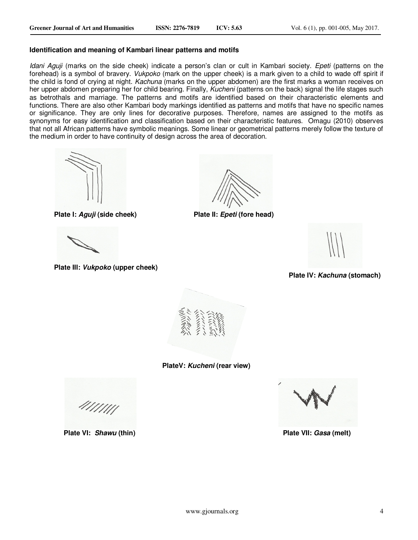#### **Identification and meaning of Kambari linear patterns and motifs**

*Idani Aguji* (marks on the side cheek) indicate a person's clan or cult in Kambari society. *Epeti* (patterns on the forehead) is a symbol of bravery. *Vukpoko* (mark on the upper cheek) is a mark given to a child to wade off spirit if the child is fond of crying at night. *Kachuna* (marks on the upper abdomen) are the first marks a woman receives on her upper abdomen preparing her for child bearing. Finally, *Kucheni* (patterns on the back) signal the life stages such as betrothals and marriage. The patterns and motifs are identified based on their characteristic elements and functions. There are also other Kambari body markings identified as patterns and motifs that have no specific names or significance. They are only lines for decorative purposes. Therefore, names are assigned to the motifs as synonyms for easy identification and classification based on their characteristic features. Omagu (2010) observes that not all African patterns have symbolic meanings. Some linear or geometrical patterns merely follow the texture of the medium in order to have continuity of design across the area of decoration.



 $\overline{a}$ **Plate III: Vukpoko (upper cheek)**

**Plate I: Aguji (side cheek) Plate II: Epeti (fore head)**

**Plate IV: Kachuna (stomach)**



**PlateV: Kucheni (rear view)** 

4111111

 **Plate VI:** *Shawu* **(thin) 2.1 and 2.1 and 2.1 and 2.1 and 2.1 and 2.1 and 2.1 and 2.1 and 2.1 and 2.1 and 2.1 and 2.1 and 2.1 and 2.1 and 2.1 and 2.1 and 2.1 and 2.1 and 2.1 and 2.1 and 2.1 and 2.1 and 2.1 and 2.1 and 2**